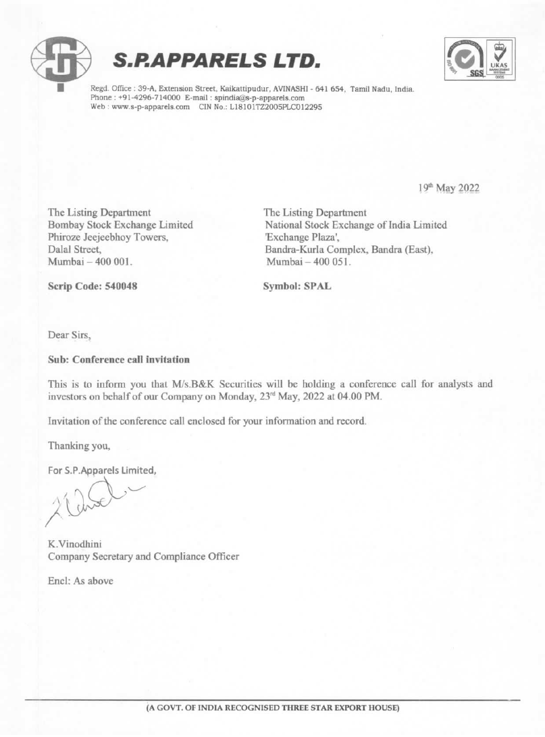





Regd. Office : 39-A, Extension Street, Kaikattipudur, AVINASHI - 641 654, Tamil Nadu, India. Phone : +91-4296-714000 E-mail : spindia@s-p-apparels.com Web: www.s-p-apparels.com CIN No.: L18101TZ2005PLC012295

19<sup>th</sup> May 2022

The Listing Department<br>
Bombay Stock Exchange Limited<br>
National Stock Exchange Phiroze Jeejeebhoy Towers,<br>Dalal Street.

National Stock Exchange of India Limited<br>'Exchange Plaza', Dalal Street, Bandra-Kurla Complex, Bandra (East),<br>Mumbai – 400 001<br>Mumbai – 400 051 Mumbai - 400 051.

Scrip Code: 540048 Symbol: SPAL

Dear Sirs,

#### Sub: Conference call invitation

This is to inform you that M/s.B&K Securities will be holding a conference call for analysts and investors on behalf of our Company on Monday, 23<sup>rd</sup> May, 2022 at 04.00 PM.

Invitation of the conference call enclosed for your information and record.

Thanking you,

For S.P.Apparels Limited,

K.Vinodhini Company Secretary and Compliance Officer

Enc!: As above